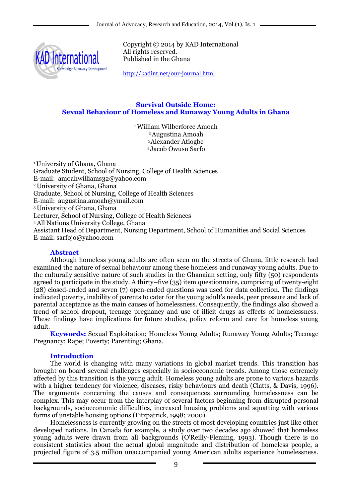

Copyright © 2014 by KAD International All rights reserved. Published in the Ghana

<http://kadint.net/our-journal.html>

## **Survival Outside Home: Sexual Behaviour of Homeless and Runaway Young Adults in Ghana**

William Wilberforce Amoah Augustina Amoah Alexander Atiogbe Jacob Owusu Sarfo

<sup>1</sup>University of Ghana, Ghana Graduate Student, School of Nursing, College of Health Sciences E-mail: amoahwilliams32@yahoo.com <sup>2</sup>University of Ghana, Ghana Graduate, School of Nursing, College of Health Sciences E-mail: augustina.amoah@ymail.com <sup>3</sup>University of Ghana, Ghana Lecturer, School of Nursing, College of Health Sciences <sup>4</sup>All Nations University College, Ghana Assistant Head of Department, Nursing Department, School of Humanities and Social Sciences E-mail: sarfojo@yahoo.com

# **Abstract**

Although homeless young adults are often seen on the streets of Ghana, little research had examined the nature of sexual behaviour among these homeless and runaway young adults. Due to the culturally sensitive nature of such studies in the Ghanaian setting, only fifty (50) respondents agreed to participate in the study. A thirty–five (35) item questionnaire, comprising of twenty-eight (28) closed-ended and seven (7) open-ended questions was used for data collection. The findings indicated poverty, inability of parents to cater for the young adult's needs, peer pressure and lack of parental acceptance as the main causes of homelessness. Consequently, the findings also showed a trend of school dropout, teenage pregnancy and use of illicit drugs as effects of homelessness. These findings have implications for future studies, policy reform and care for homeless young adult.

**Keywords:** Sexual Exploitation; Homeless Young Adults; Runaway Young Adults; Teenage Pregnancy; Rape; Poverty; Parenting; Ghana.

# **Introduction**

The world is changing with many variations in global market trends. This transition has brought on board several challenges especially in socioeconomic trends. Among those extremely affected by this transition is the young adult. Homeless young adults are prone to various hazards with a higher tendency for violence, diseases, risky behaviours and death (Clatts, & Davis, 1996). The arguments concerning the causes and consequences surrounding homelessness can be complex. This may occur from the interplay of several factors beginning from disrupted personal backgrounds, socioeconomic difficulties, increased housing problems and squatting with various forms of unstable housing options (Fitzpatrick, 1998; 2000).

Homelessness is currently growing on the streets of most developing countries just like other developed nations. In Canada for example, a study over two decades ago showed that homeless young adults were drawn from all backgrounds (O'Reilly-Fleming, 1993). Though there is no consistent statistics about the actual global magnitude and distribution of homeless people, a projected figure of 3.5 million unaccompanied young American adults experience homelessness.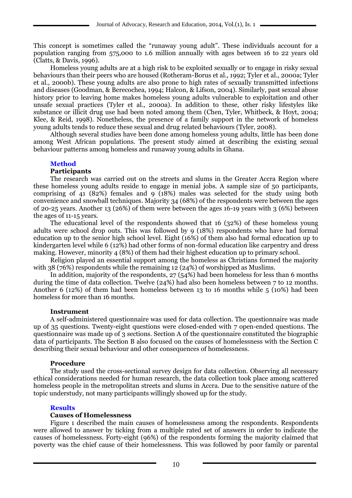This concept is sometimes called the "runaway young adult". These individuals account for a population ranging from 575,000 to 1.6 million annually with ages between 16 to 22 years old (Clatts, & Davis, 1996).

Homeless young adults are at a high risk to be exploited sexually or to engage in risky sexual behaviours than their peers who are housed (Rotheram-Borus et al., 1992; Tyler et al., 2000a; Tyler et al., 2000b). These young adults are also prone to high rates of sexually transmitted infections and diseases (Goodman, & Berecochea, 1994; Halcon, & Lifson, 2004). Similarly, past sexual abuse history prior to leaving home makes homeless young adults vulnerable to exploitation and other unsafe sexual practices (Tyler et al., 2000a). In addition to these, other risky lifestyles like substance or illicit drug use had been noted among them (Chen, Tyler, Whitbeck, & Hoyt, 2004; Klee, & Reid, 1998). Nonetheless, the presence of a family support in the network of homeless young adults tends to reduce these sexual and drug related behaviours (Tyler, 2008).

Although several studies have been done among homeless young adults, little has been done among West African populations. The present study aimed at describing the existing sexual behaviour patterns among homeless and runaway young adults in Ghana.

# **Method**

#### **Participants**

The research was carried out on the streets and slums in the Greater Accra Region where these homeless young adults reside to engage in menial jobs. A sample size of 50 participants, comprising of 41 (82%) females and 9 (18%) males was selected for the study using both convenience and snowball techniques. Majority 34 (68%) of the respondents were between the ages of 20-25 years. Another 13 (26%) of them were between the ages 16-19 years with 3 (6%) between the ages of 11-15 years.

The educational level of the respondents showed that 16 (32%) of these homeless young adults were school drop outs. This was followed by 9 (18%) respondents who have had formal education up to the senior high school level. Eight (16%) of them also had formal education up to kindergarten level while 6 (12%) had other forms of non-formal education like carpentry and dress making. However, minority 4 (8%) of them had their highest education up to primary school.

Religion played an essential support among the homeless as Christians formed the majority with 38 (76%) respondents while the remaining 12 (24%) of worshipped as Muslims.

In addition, majority of the respondents, 27 (54%) had been homeless for less than 6 months during the time of data collection. Twelve (24%) had also been homeless between 7 to 12 months. Another 6 (12%) of them had been homeless between 13 to 16 months while 5 (10%) had been homeless for more than 16 months.

## **Instrument**

A self-administered questionnaire was used for data collection. The questionnaire was made up of 35 questions. Twenty-eight questions were closed-ended with 7 open-ended questions. The questionnaire was made up of 3 sections. Section A of the questionnaire constituted the biographic data of participants. The Section B also focused on the causes of homelessness with the Section C describing their sexual behaviour and other consequences of homelessness.

## **Procedure**

The study used the cross-sectional survey design for data collection. Observing all necessary ethical considerations needed for human research, the data collection took place among scattered homeless people in the metropolitan streets and slums in Accra. Due to the sensitive nature of the topic understudy, not many participants willingly showed up for the study.

## **Results**

## **Causes of Homelessness**

Figure 1 described the main causes of homelessness among the respondents. Respondents were allowed to answer by ticking from a multiple rated set of answers in order to indicate the causes of homelessness. Forty-eight (96%) of the respondents forming the majority claimed that poverty was the chief cause of their homelessness. This was followed by poor family or parental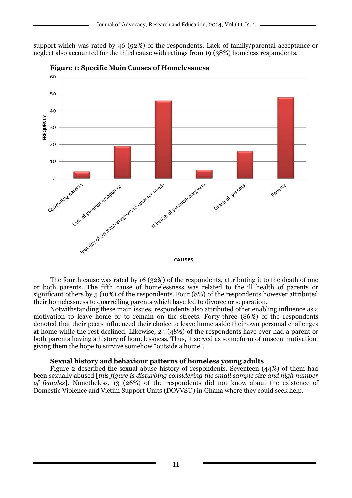support which was rated by 46 (92%) of the respondents. Lack of family/parental acceptance or neglect also accounted for the third cause with ratings from 19 (38%) homeless respondents.





The fourth cause was rated by 16 (32%) of the respondents, attributing it to the death of one or both parents. The fifth cause of homelessness was related to the ill health of parents or significant others by 5 (10%) of the respondents. Four (8%) of the respondents however attributed their homelessness to quarrelling parents which have led to divorce or separation.

Notwithstanding these main issues, respondents also attributed other enabling influence as a motivation to leave home or to remain on the streets. Forty-three (86%) of the respondents denoted that their peers influenced their choice to leave home aside their own personal challenges at home while the rest declined. Likewise, 24 (48%) of the respondents have ever had a parent or both parents having a history of homelessness. Thus, it served as some form of unseen motivation, giving them the hope to survive somehow "outside a home".

## **Sexual history and behaviour patterns of homeless young adults**

Figure 2 described the sexual abuse history of respondents. Seventeen (44%) of them had been sexually abused [*this figure is disturbing considering the small sample size and high number of females*]. Nonetheless, 13 (26%) of the respondents did not know about the existence of Domestic Violence and Victim Support Units (DOVVSU) in Ghana where they could seek help.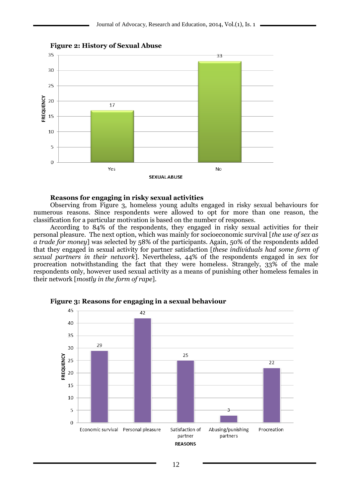

**Figure 2: History of Sexual Abuse**

#### **Reasons for engaging in risky sexual activities**

Observing from Figure 3, homeless young adults engaged in risky sexual behaviours for numerous reasons. Since respondents were allowed to opt for more than one reason, the classification for a particular motivation is based on the number of responses.

According to 84% of the respondents, they engaged in risky sexual activities for their personal pleasure. The next option, which was mainly for socioeconomic survival [*the use of sex as a trade for money*] was selected by 58% of the participants. Again, 50% of the respondents added that they engaged in sexual activity for partner satisfaction [*these individuals had some form of sexual partners in their network*]. Nevertheless, 44% of the respondents engaged in sex for procreation notwithstanding the fact that they were homeless. Strangely, 33% of the male respondents only, however used sexual activity as a means of punishing other homeless females in their network [*mostly in the form of rape*].



**Figure 3: Reasons for engaging in a sexual behaviour**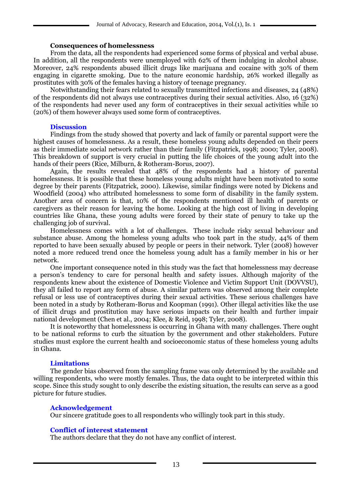#### **Consequences of homelessness**

From the data, all the respondents had experienced some forms of physical and verbal abuse. In addition, all the respondents were unemployed with 62% of them indulging in alcohol abuse. Moreover, 24% respondents abused illicit drugs like marijuana and cocaine with 30% of them engaging in cigarette smoking. Due to the nature economic hardship, 26% worked illegally as prostitutes with 30% of the females having a history of teenage pregnancy.

Notwithstanding their fears related to sexually transmitted infections and diseases, 24 (48%) of the respondents did not always use contraceptives during their sexual activities. Also, 16 (32%) of the respondents had never used any form of contraceptives in their sexual activities while 10 (20%) of them however always used some form of contraceptives.

#### **Discussion**

Findings from the study showed that poverty and lack of family or parental support were the highest causes of homelessness. As a result, these homeless young adults depended on their peers as their immediate social network rather than their family (Fitzpatrick, 1998; 2000; Tyler, 2008). This breakdown of support is very crucial in putting the life choices of the young adult into the hands of their peers (Rice, Milburn, & Rotheram-Borus, 2007).

Again, the results revealed that 48% of the respondents had a history of parental homelessness. It is possible that these homeless young adults might have been motivated to some degree by their parents (Fitzpatrick, 2000). Likewise, similar findings were noted by Dickens and Woodfield (2004) who attributed homelessness to some form of disability in the family system. Another area of concern is that, 10% of the respondents mentioned ill health of parents or caregivers as their reason for leaving the home. Looking at the high cost of living in developing countries like Ghana, these young adults were forced by their state of penury to take up the challenging job of survival.

Homelessness comes with a lot of challenges. These include risky sexual behaviour and substance abuse. Among the homeless young adults who took part in the study, 44% of them reported to have been sexually abused by people or peers in their network. Tyler (2008) however noted a more reduced trend once the homeless young adult has a family member in his or her network.

One important consequence noted in this study was the fact that homelessness may decrease a person's tendency to care for personal health and safety issues. Although majority of the respondents knew about the existence of Domestic Violence and Victim Support Unit (DOVVSU), they all failed to report any form of abuse. A similar pattern was observed among their complete refusal or less use of contraceptives during their sexual activities. These serious challenges have been noted in a study by Rotheram-Borus and Koopman (1991). Other illegal activities like the use of illicit drugs and prostitution may have serious impacts on their health and further impair national development (Chen et al., 2004; Klee, & Reid, 1998; Tyler, 2008).

It is noteworthy that homelessness is occurring in Ghana with many challenges. There ought to be national reforms to curb the situation by the government and other stakeholders. Future studies must explore the current health and socioeconomic status of these homeless young adults in Ghana.

## **Limitations**

The gender bias observed from the sampling frame was only determined by the available and willing respondents, who were mostly females. Thus, the data ought to be interpreted within this scope. Since this study sought to only describe the existing situation, the results can serve as a good picture for future studies.

## **Acknowledgement**

Our sincere gratitude goes to all respondents who willingly took part in this study.

## **Conflict of interest statement**

The authors declare that they do not have any conflict of interest.